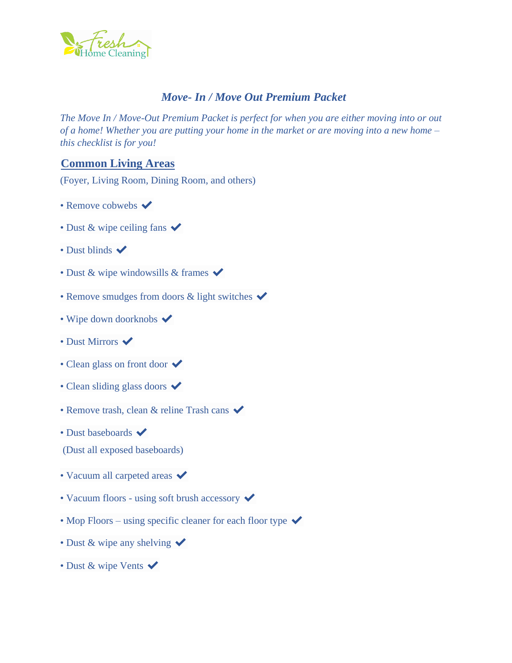

# *Move- In / Move Out Premium Packet*

*The Move In / Move-Out Premium Packet is perfect for when you are either moving into or out of a home! Whether you are putting your home in the market or are moving into a new home – this checklist is for you!*

## **Common Living Areas**

(Foyer, Living Room, Dining Room, and others)

- Remove cobwebs  $\blacktriangleright$
- Dust & wipe ceiling fans  $\checkmark$
- Dust blinds  $\blacktriangleright$
- Dust & wipe windowsills & frames  $\checkmark$
- Remove smudges from doors  $\&$  light switches  $\checkmark$
- Wipe down doorknobs  $\blacktriangledown$
- Dust Mirrors  $\blacktriangledown$
- Clean glass on front door  $\checkmark$
- Clean sliding glass doors  $\checkmark$
- Remove trash, clean & reline Trash cans  $\checkmark$
- Dust baseboards  $\blacktriangleright$

(Dust all exposed baseboards)

- Vacuum all carpeted areas  $\checkmark$
- Vacuum floors using soft brush accessory  $\checkmark$
- Mop Floors using specific cleaner for each floor type  $\checkmark$
- Dust & wipe any shelving  $\checkmark$
- Dust & wipe Vents  $\checkmark$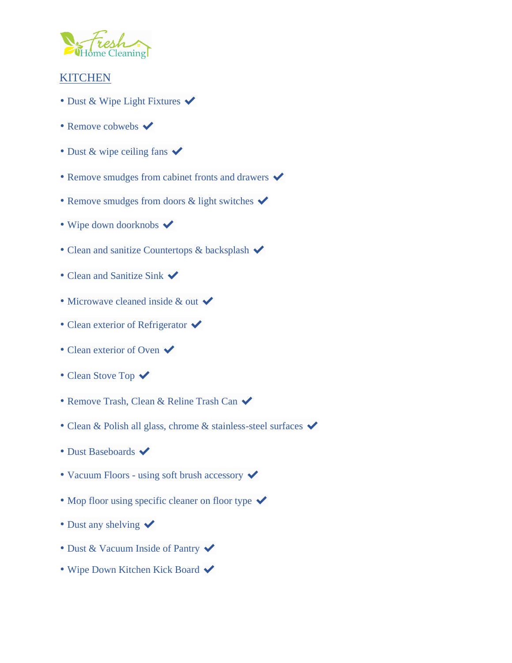

# **KITCHEN**

- Dust & Wipe Light Fixtures  $\checkmark$
- Remove cobwebs  $\blacktriangledown$
- Dust & wipe ceiling fans  $\checkmark$
- Remove smudges from cabinet fronts and drawers  $\blacktriangledown$
- Remove smudges from doors  $\&$  light switches  $\checkmark$
- Wipe down doorknobs  $\blacktriangledown$
- Clean and sanitize Countertops & backsplash  $\checkmark$
- Clean and Sanitize Sink  $\checkmark$
- Microwave cleaned inside  $\&$  out  $\checkmark$
- Clean exterior of Refrigerator  $\checkmark$
- Clean exterior of Oven  $\checkmark$
- Clean Stove Top  $\checkmark$
- Remove Trash, Clean & Reline Trash Can  $\checkmark$
- Clean & Polish all glass, chrome & stainless-steel surfaces  $\checkmark$
- Dust Baseboards  $\blacktriangledown$
- Vacuum Floors using soft brush accessory  $\checkmark$
- Mop floor using specific cleaner on floor type  $\checkmark$
- Dust any shelving  $\checkmark$
- Dust & Vacuum Inside of Pantry  $\checkmark$
- Wipe Down Kitchen Kick Board  $\checkmark$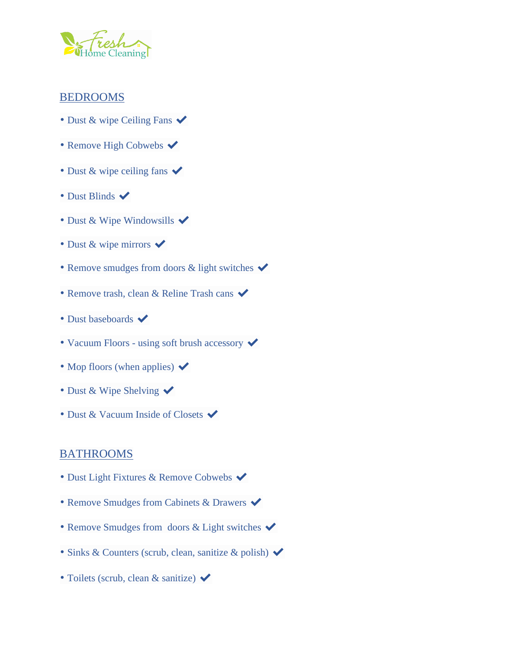

#### BEDROOMS

- Dust & wipe Ceiling Fans  $\checkmark$
- Remove High Cobwebs  $\checkmark$
- Dust & wipe ceiling fans  $\checkmark$
- Dust Blinds  $\blacktriangledown$
- Dust & Wipe Windowsills  $\checkmark$
- Dust & wipe mirrors  $\checkmark$
- Remove smudges from doors  $\&$  light switches  $\checkmark$
- Remove trash, clean & Reline Trash cans  $\checkmark$
- Dust baseboards  $\blacktriangleright$
- Vacuum Floors using soft brush accessory  $\checkmark$
- Mop floors (when applies)  $\blacktriangleright$
- Dust & Wipe Shelving  $\checkmark$
- Dust & Vacuum Inside of Closets  $\blacktriangleright$

#### BATHROOMS

- Dust Light Fixtures & Remove Cobwebs  $\blacktriangledown$
- Remove Smudges from Cabinets & Drawers  $\checkmark$
- Remove Smudges from doors & Light switches  $\checkmark$
- Sinks & Counters (scrub, clean, sanitize & polish)  $\checkmark$
- Toilets (scrub, clean & sanitize)  $\checkmark$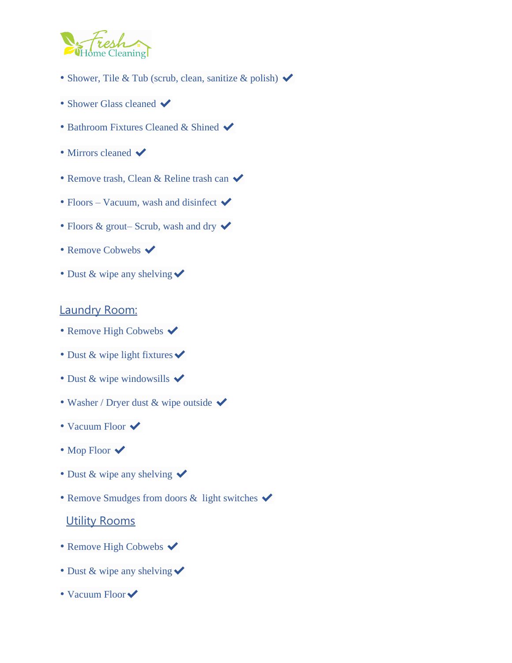

- Shower, Tile & Tub (scrub, clean, sanitize & polish)  $\blacktriangleright$
- Shower Glass cleaned  $\blacktriangleright$
- Bathroom Fixtures Cleaned & Shined  $\blacktriangledown$
- Mirrors cleaned  $\blacktriangleright$
- Remove trash, Clean & Reline trash can  $\checkmark$
- Floors Vacuum, wash and disinfect  $\blacktriangleright$
- Floors & grout– Scrub, wash and dry  $\checkmark$
- Remove Cobwebs  $\blacktriangleright$
- Dust & wipe any shelving  $\checkmark$

## Laundry Room:

- Remove High Cobwebs  $\checkmark$
- Dust & wipe light fixtures  $\checkmark$
- Dust & wipe windowsills  $\checkmark$
- Washer / Dryer dust & wipe outside  $\checkmark$
- Vacuum Floor  $\checkmark$
- Mop Floor  $\checkmark$
- Dust & wipe any shelving  $\checkmark$
- Remove Smudges from doors & light switches  $\checkmark$

## **Utility Rooms**

- Remove High Cobwebs  $\blacktriangleright$
- Dust & wipe any shelving  $\checkmark$
- Vacuum Floor